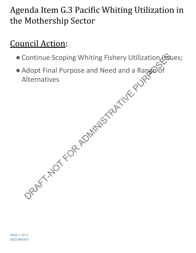## Agenda Item G.3 Pacific Whiting Utilization in the Mothership Sector

## Council Action:

- Continue Scoping Whiting Fishery Utilization Issues;
- Adopt Final Purpose and Need and a Range of Alternatives Continue Scoping Whiting Fishery Utilization 1500<br>Adopt Final Purpose and Need and a Rangeof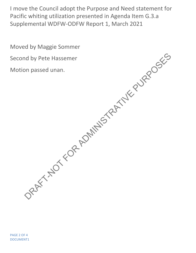I move the Council adopt the Purpose and Need statement for Pacific whiting utilization presented in Agenda Item G.3.a Supplemental WDFW-ODFW Report 1, March 2021

Moved by Maggie Sommer Second by Pete Hassemer Motion passed unan. DRAFT-NOT FOR ADMINISTRATIVE PURPOSES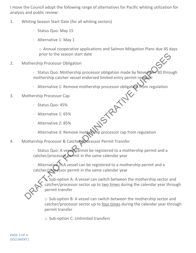I move the Council adopt the following range of alternatives for Pacific whiting utilization for analysis and public review:

- 1. Whiting Season Start Date (for all whiting sectors)
	- · Status Quo: May 15
	- · Alternative 1: May 1

o Annual cooperative applications and Salmon Mitigation Plans due 45 days prior to the season start date

- 2. Mothership Processor Obligation
	- $\cdot$  Status Quo: Mothership processor obligation made by November mothership catcher vessel endorsed limited entry permit renewal
	- Alternative 1: Remove mothership processor obligation from regulation<br>ership Processor Cap<br>• Status Quo: 45%<br>• Alternative 1: 65%<br>• Alternative
- 3. Mothership Processor Cap
	- · Status Quo: 45%
	- · Alternative 1: 65%
	- · Alternative 2: 85%
	- · Alternative 3: Remove mothership processor cap from regulation
- 4. Mothership Processor & Catcher/Processor Permit Transfer

· Status Quo: A vessel cannot be registered to a mothership permit and a catcher/processor permit in the same calendar year

· Alternative 1: A vessel can be registered to a mothership permit and a catcher/processor permit in the same calendar year

Sub-option A: A vessel can switch between the mothership sector and catcher/processor sector up to two times during the calendar year through permit transfer prior to the season start date<br>
dothership Processor Obligation<br>
Status Quo: Mothership processor obligation made by November 30 throu<br>
mothership catcher vessel endorsed limited entry permit regonal<br>
Alternative 1: Remove

o Sub-option B: A vessel can switch between the mothership sector and catcher/processor sector up to four times during the calendar year through permit transfer

o Sub-option C: Unlimited transfers